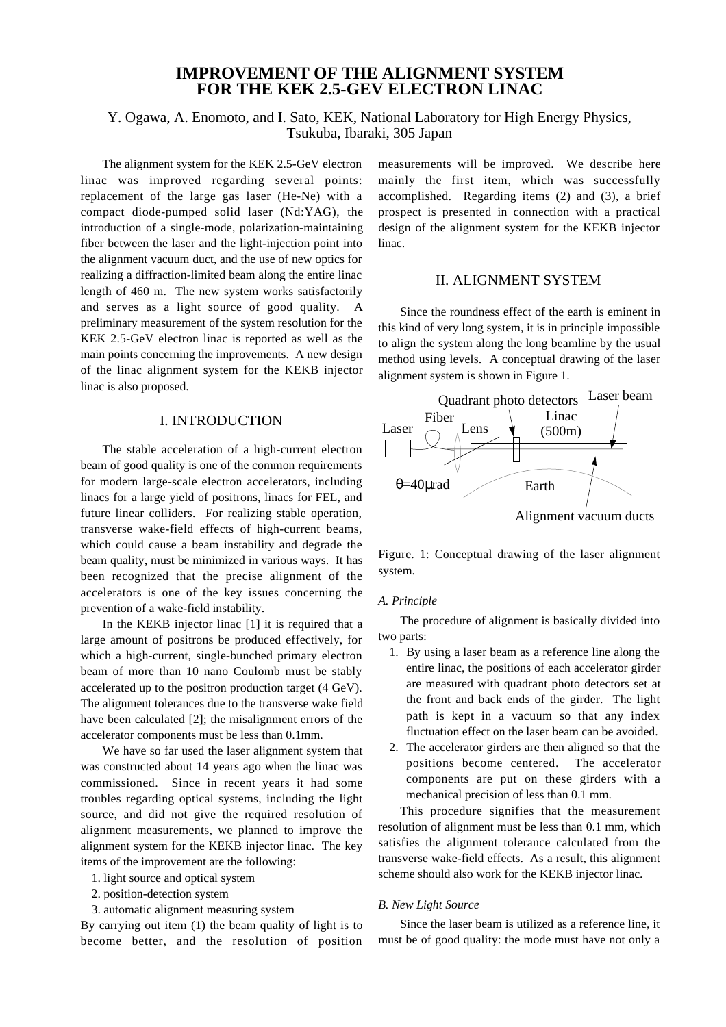# **IMPROVEMENT OF THE ALIGNMENT SYSTEM FOR THE KEK 2.5-GEV ELECTRON LINAC**

# Y. Ogawa, A. Enomoto, and I. Sato, KEK, National Laboratory for High Energy Physics, Tsukuba, Ibaraki, 305 Japan

The alignment system for the KEK 2.5-GeV electron linac was improved regarding several points: replacement of the large gas laser (He-Ne) with a compact diode-pumped solid laser (Nd:YAG), the introduction of a single-mode, polarization-maintaining fiber between the laser and the light-injection point into the alignment vacuum duct, and the use of new optics for realizing a diffraction-limited beam along the entire linac length of 460 m. The new system works satisfactorily and serves as a light source of good quality. A preliminary measurement of the system resolution for the KEK 2.5-GeV electron linac is reported as well as the main points concerning the improvements. A new design of the linac alignment system for the KEKB injector linac is also proposed.

## I. INTRODUCTION

The stable acceleration of a high-current electron beam of good quality is one of the common requirements for modern large-scale electron accelerators, including linacs for a large yield of positrons, linacs for FEL, and future linear colliders. For realizing stable operation, transverse wake-field effects of high-current beams, which could cause a beam instability and degrade the beam quality, must be minimized in various ways. It has been recognized that the precise alignment of the accelerators is one of the key issues concerning the prevention of a wake-field instability.

In the KEKB injector linac [1] it is required that a large amount of positrons be produced effectively, for which a high-current, single-bunched primary electron beam of more than 10 nano Coulomb must be stably accelerated up to the positron production target (4 GeV). The alignment tolerances due to the transverse wake field have been calculated [2]; the misalignment errors of the accelerator components must be less than 0.1mm.

We have so far used the laser alignment system that was constructed about 14 years ago when the linac was commissioned. Since in recent years it had some troubles regarding optical systems, including the light source, and did not give the required resolution of alignment measurements, we planned to improve the alignment system for the KEKB injector linac. The key items of the improvement are the following:

- 1. light source and optical system
- 2. position-detection system
- 3. automatic alignment measuring system

By carrying out item (1) the beam quality of light is to become better, and the resolution of position measurements will be improved. We describe here mainly the first item, which was successfully accomplished. Regarding items (2) and (3), a brief prospect is presented in connection with a practical design of the alignment system for the KEKB injector linac.

## II. ALIGNMENT SYSTEM

Since the roundness effect of the earth is eminent in this kind of very long system, it is in principle impossible to align the system along the long beamline by the usual method using levels. A conceptual drawing of the laser alignment system is shown in Figure 1.



Figure. 1: Conceptual drawing of the laser alignment system.

#### *A. Principle*

The procedure of alignment is basically divided into two parts:

- 1. By using a laser beam as a reference line along the entire linac, the positions of each accelerator girder are measured with quadrant photo detectors set at the front and back ends of the girder. The light path is kept in a vacuum so that any index fluctuation effect on the laser beam can be avoided.
- 2. The accelerator girders are then aligned so that the positions become centered. The accelerator components are put on these girders with a mechanical precision of less than 0.1 mm.

This procedure signifies that the measurement resolution of alignment must be less than 0.1 mm, which satisfies the alignment tolerance calculated from the transverse wake-field effects. As a result, this alignment scheme should also work for the KEKB injector linac.

#### *B. New Light Source*

Since the laser beam is utilized as a reference line, it must be of good quality: the mode must have not only a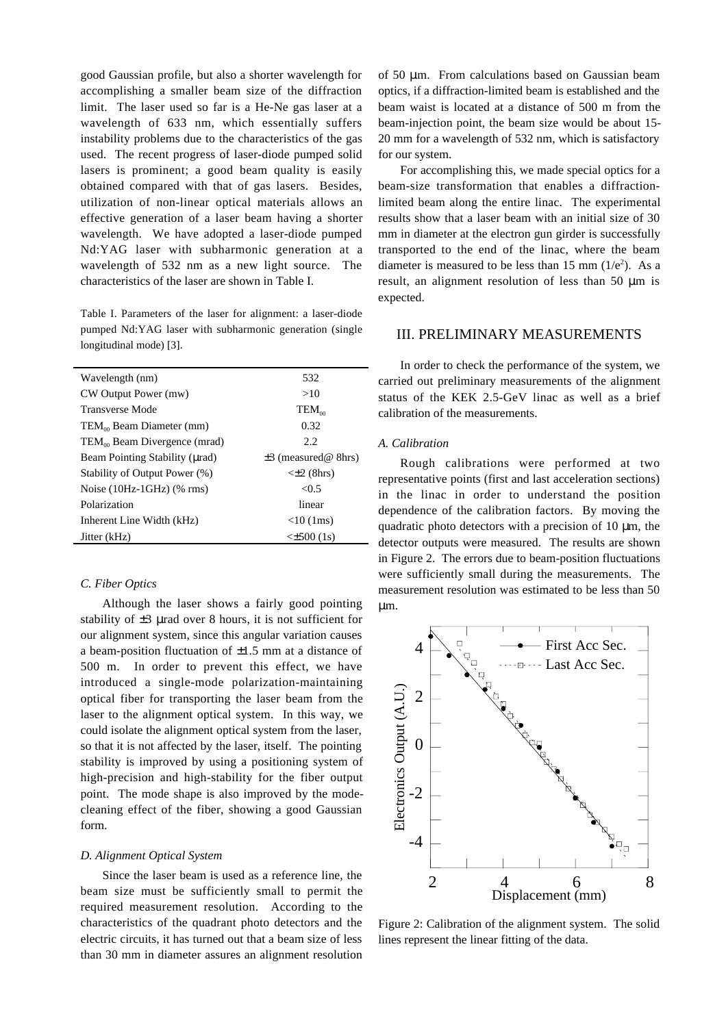good Gaussian profile, but also a shorter wavelength for accomplishing a smaller beam size of the diffraction limit. The laser used so far is a He-Ne gas laser at a wavelength of 633 nm, which essentially suffers instability problems due to the characteristics of the gas used. The recent progress of laser-diode pumped solid lasers is prominent; a good beam quality is easily obtained compared with that of gas lasers. Besides, utilization of non-linear optical materials allows an effective generation of a laser beam having a shorter wavelength. We have adopted a laser-diode pumped Nd:YAG laser with subharmonic generation at a wavelength of 532 nm as a new light source. The characteristics of the laser are shown in Table I.

Table I. Parameters of the laser for alignment: a laser-diode pumped Nd:YAG laser with subharmonic generation (single longitudinal mode) [3].

| Wavelength (nm)                          | 532                      |
|------------------------------------------|--------------------------|
| CW Output Power (mw)                     | >10                      |
| <b>Transverse Mode</b>                   | $TEM_{\infty}$           |
| $TEM_{00}$ Beam Diameter (mm)            | 0.32                     |
| TEM <sub>00</sub> Beam Divergence (mrad) | 2.2.                     |
| Beam Pointing Stability (urad)           | $\pm$ 3 (measured@ 8hrs) |
| Stability of Output Power (%)            | $\leq$ 2 (8hrs)          |
| Noise $(10Hz-1GHz)$ (% rms)              | < 0.5                    |
| Polarization                             | linear                   |
| Inherent Line Width (kHz)                | $<$ 10 (1ms)             |
| Jitter (kHz)                             | <±500 (1s)               |

#### *C. Fiber Optics*

Although the laser shows a fairly good pointing stability of  $\pm 3$  µrad over 8 hours, it is not sufficient for our alignment system, since this angular variation causes a beam-position fluctuation of ±1.5 mm at a distance of 500 m. In order to prevent this effect, we have introduced a single-mode polarization-maintaining optical fiber for transporting the laser beam from the laser to the alignment optical system. In this way, we could isolate the alignment optical system from the laser, so that it is not affected by the laser, itself. The pointing stability is improved by using a positioning system of high-precision and high-stability for the fiber output point. The mode shape is also improved by the modecleaning effect of the fiber, showing a good Gaussian form.

#### *D. Alignment Optical System*

Since the laser beam is used as a reference line, the beam size must be sufficiently small to permit the required measurement resolution. According to the characteristics of the quadrant photo detectors and the electric circuits, it has turned out that a beam size of less than 30 mm in diameter assures an alignment resolution

of 50 µm. From calculations based on Gaussian beam optics, if a diffraction-limited beam is established and the beam waist is located at a distance of 500 m from the beam-injection point, the beam size would be about 15- 20 mm for a wavelength of 532 nm, which is satisfactory for our system.

For accomplishing this, we made special optics for a beam-size transformation that enables a diffractionlimited beam along the entire linac. The experimental results show that a laser beam with an initial size of 30 mm in diameter at the electron gun girder is successfully transported to the end of the linac, where the beam diameter is measured to be less than 15 mm  $(1/e^2)$ . As a result, an alignment resolution of less than 50 µm is expected.

### III. PRELIMINARY MEASUREMENTS

In order to check the performance of the system, we carried out preliminary measurements of the alignment status of the KEK 2.5-GeV linac as well as a brief calibration of the measurements.

#### *A. Calibration*

Rough calibrations were performed at two representative points (first and last acceleration sections) in the linac in order to understand the position dependence of the calibration factors. By moving the quadratic photo detectors with a precision of  $10 \mu m$ , the detector outputs were measured. The results are shown in Figure 2. The errors due to beam-position fluctuations were sufficiently small during the measurements. The measurement resolution was estimated to be less than 50 µm.



Figure 2: Calibration of the alignment system. The solid lines represent the linear fitting of the data.